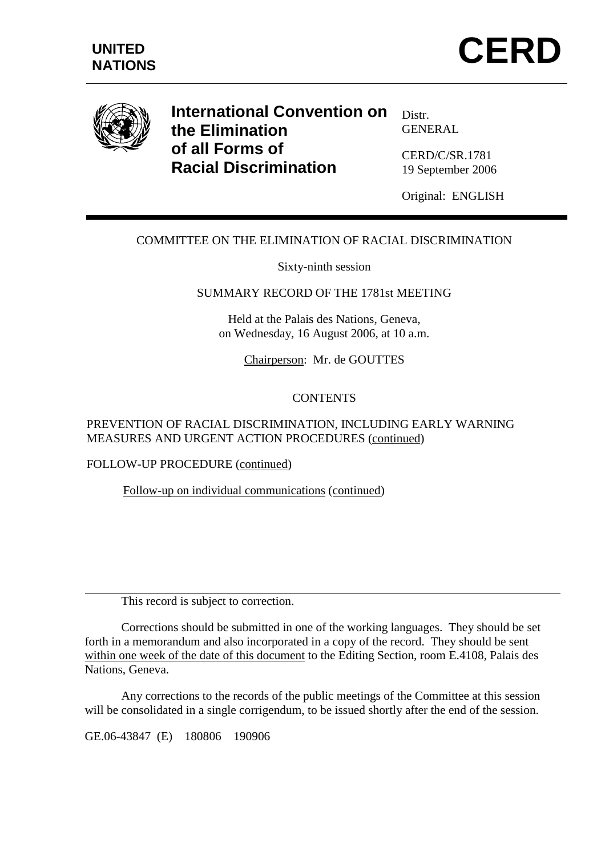



**International Convention on the Elimination of all Forms of Racial Discrimination** 

Distr. GENERAL

CERD/C/SR.1781 19 September 2006

Original: ENGLISH

# COMMITTEE ON THE ELIMINATION OF RACIAL DISCRIMINATION

Sixty-ninth session

### SUMMARY RECORD OF THE 1781st MEETING

Held at the Palais des Nations, Geneva, on Wednesday, 16 August 2006, at 10 a.m.

Chairperson: Mr. de GOUTTES

### **CONTENTS**

### PREVENTION OF RACIAL DISCRIMINATION, INCLUDING EARLY WARNING MEASURES AND URGENT ACTION PROCEDURES (continued)

#### FOLLOW-UP PROCEDURE (continued)

Follow-up on individual communications (continued)

This record is subject to correction.

 Corrections should be submitted in one of the working languages. They should be set forth in a memorandum and also incorporated in a copy of the record. They should be sent within one week of the date of this document to the Editing Section, room E.4108, Palais des Nations, Geneva.

 Any corrections to the records of the public meetings of the Committee at this session will be consolidated in a single corrigendum, to be issued shortly after the end of the session.

GE.06-43847 (E) 180806 190906

 $\overline{a}$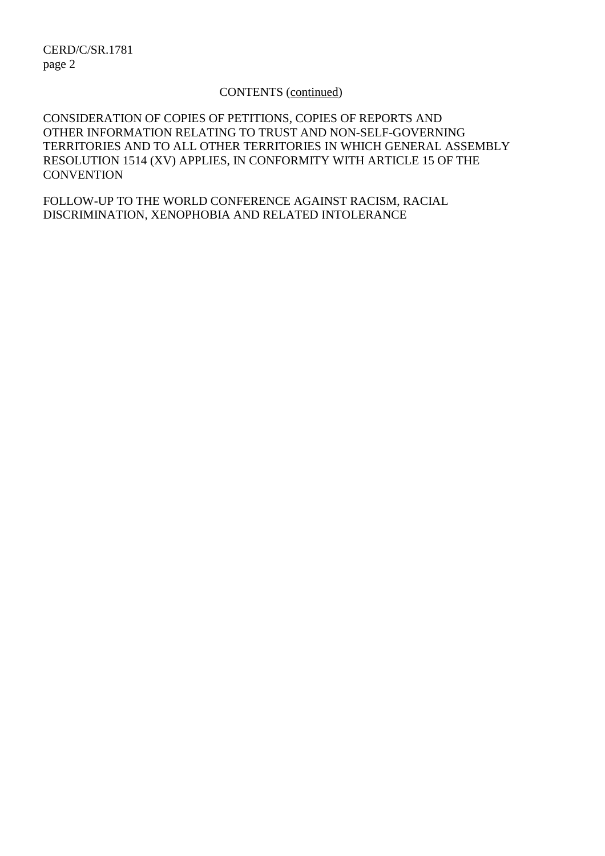#### CONTENTS (continued)

CONSIDERATION OF COPIES OF PETITIONS, COPIES OF REPORTS AND OTHER INFORMATION RELATING TO TRUST AND NON-SELF-GOVERNING TERRITORIES AND TO ALL OTHER TERRITORIES IN WHICH GENERAL ASSEMBLY RESOLUTION 1514 (XV) APPLIES, IN CONFORMITY WITH ARTICLE 15 OF THE **CONVENTION** 

FOLLOW-UP TO THE WORLD CONFERENCE AGAINST RACISM, RACIAL DISCRIMINATION, XENOPHOBIA AND RELATED INTOLERANCE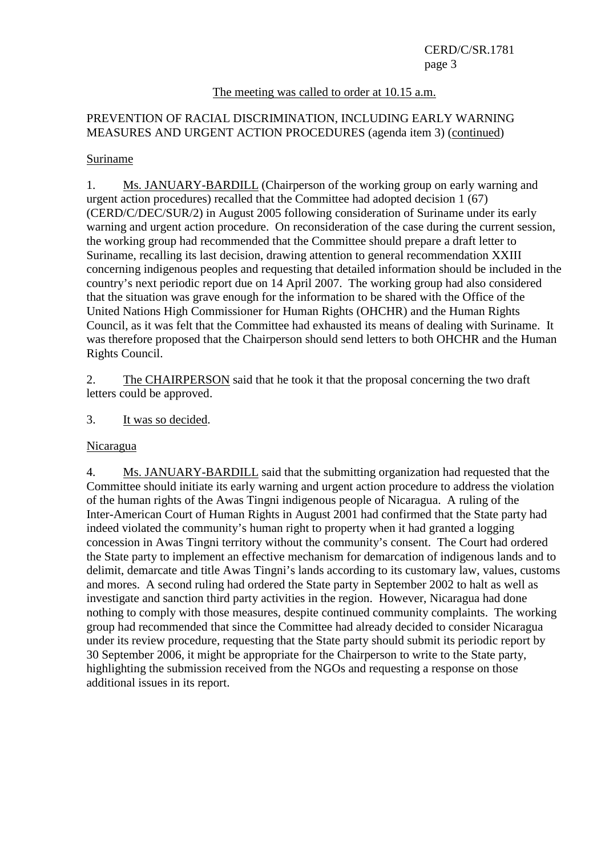### The meeting was called to order at 10.15 a.m.

# PREVENTION OF RACIAL DISCRIMINATION, INCLUDING EARLY WARNING MEASURES AND URGENT ACTION PROCEDURES (agenda item 3) (continued)

#### Suriname

1. Ms. JANUARY-BARDILL (Chairperson of the working group on early warning and urgent action procedures) recalled that the Committee had adopted decision 1 (67) (CERD/C/DEC/SUR/2) in August 2005 following consideration of Suriname under its early warning and urgent action procedure. On reconsideration of the case during the current session, the working group had recommended that the Committee should prepare a draft letter to Suriname, recalling its last decision, drawing attention to general recommendation XXIII concerning indigenous peoples and requesting that detailed information should be included in the country's next periodic report due on 14 April 2007. The working group had also considered that the situation was grave enough for the information to be shared with the Office of the United Nations High Commissioner for Human Rights (OHCHR) and the Human Rights Council, as it was felt that the Committee had exhausted its means of dealing with Suriname. It was therefore proposed that the Chairperson should send letters to both OHCHR and the Human Rights Council.

2. The CHAIRPERSON said that he took it that the proposal concerning the two draft letters could be approved.

3. It was so decided.

#### Nicaragua

4. Ms. JANUARY-BARDILL said that the submitting organization had requested that the Committee should initiate its early warning and urgent action procedure to address the violation of the human rights of the Awas Tingni indigenous people of Nicaragua. A ruling of the Inter-American Court of Human Rights in August 2001 had confirmed that the State party had indeed violated the community's human right to property when it had granted a logging concession in Awas Tingni territory without the community's consent. The Court had ordered the State party to implement an effective mechanism for demarcation of indigenous lands and to delimit, demarcate and title Awas Tingni's lands according to its customary law, values, customs and mores. A second ruling had ordered the State party in September 2002 to halt as well as investigate and sanction third party activities in the region. However, Nicaragua had done nothing to comply with those measures, despite continued community complaints. The working group had recommended that since the Committee had already decided to consider Nicaragua under its review procedure, requesting that the State party should submit its periodic report by 30 September 2006, it might be appropriate for the Chairperson to write to the State party, highlighting the submission received from the NGOs and requesting a response on those additional issues in its report.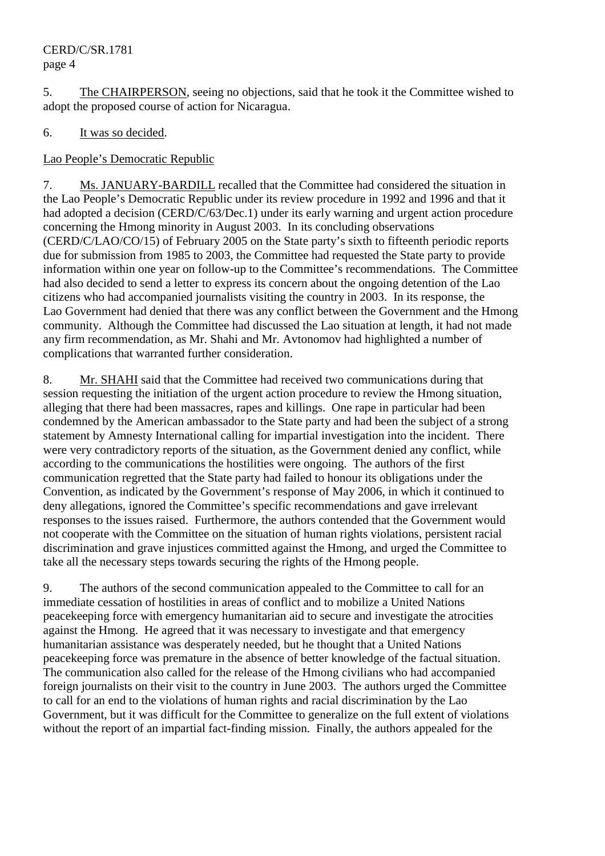5. The CHAIRPERSON, seeing no objections, said that he took it the Committee wished to adopt the proposed course of action for Nicaragua.

# 6. It was so decided.

# Lao People's Democratic Republic

7. Ms. JANUARY-BARDILL recalled that the Committee had considered the situation in the Lao People's Democratic Republic under its review procedure in 1992 and 1996 and that it had adopted a decision (CERD/C/63/Dec.1) under its early warning and urgent action procedure concerning the Hmong minority in August 2003. In its concluding observations (CERD/C/LAO/CO/15) of February 2005 on the State party's sixth to fifteenth periodic reports due for submission from 1985 to 2003, the Committee had requested the State party to provide information within one year on follow-up to the Committee's recommendations. The Committee had also decided to send a letter to express its concern about the ongoing detention of the Lao citizens who had accompanied journalists visiting the country in 2003. In its response, the Lao Government had denied that there was any conflict between the Government and the Hmong community. Although the Committee had discussed the Lao situation at length, it had not made any firm recommendation, as Mr. Shahi and Mr. Avtonomov had highlighted a number of complications that warranted further consideration.

8. Mr. SHAHI said that the Committee had received two communications during that session requesting the initiation of the urgent action procedure to review the Hmong situation, alleging that there had been massacres, rapes and killings. One rape in particular had been condemned by the American ambassador to the State party and had been the subject of a strong statement by Amnesty International calling for impartial investigation into the incident. There were very contradictory reports of the situation, as the Government denied any conflict, while according to the communications the hostilities were ongoing. The authors of the first communication regretted that the State party had failed to honour its obligations under the Convention, as indicated by the Government's response of May 2006, in which it continued to deny allegations, ignored the Committee's specific recommendations and gave irrelevant responses to the issues raised. Furthermore, the authors contended that the Government would not cooperate with the Committee on the situation of human rights violations, persistent racial discrimination and grave injustices committed against the Hmong, and urged the Committee to take all the necessary steps towards securing the rights of the Hmong people.

9. The authors of the second communication appealed to the Committee to call for an immediate cessation of hostilities in areas of conflict and to mobilize a United Nations peacekeeping force with emergency humanitarian aid to secure and investigate the atrocities against the Hmong. He agreed that it was necessary to investigate and that emergency humanitarian assistance was desperately needed, but he thought that a United Nations peacekeeping force was premature in the absence of better knowledge of the factual situation. The communication also called for the release of the Hmong civilians who had accompanied foreign journalists on their visit to the country in June 2003. The authors urged the Committee to call for an end to the violations of human rights and racial discrimination by the Lao Government, but it was difficult for the Committee to generalize on the full extent of violations without the report of an impartial fact-finding mission. Finally, the authors appealed for the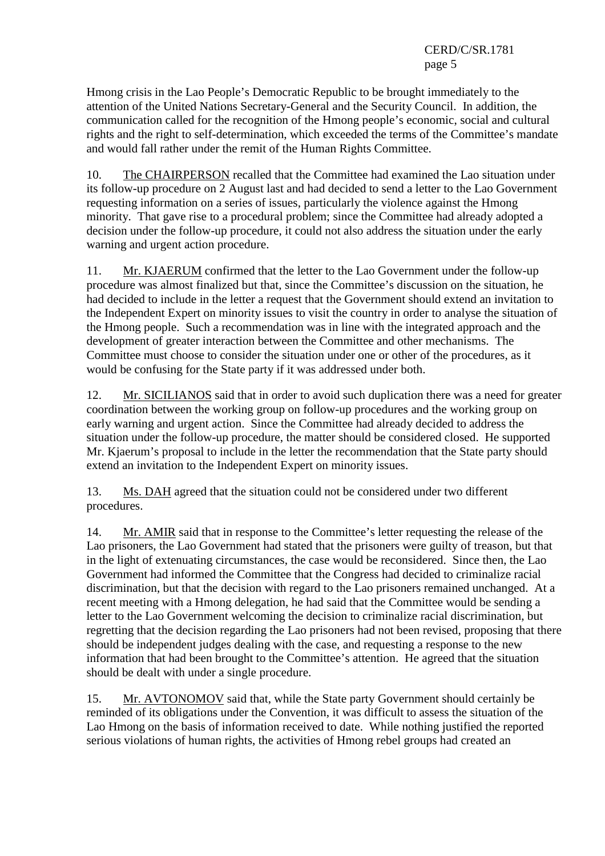Hmong crisis in the Lao People's Democratic Republic to be brought immediately to the attention of the United Nations Secretary-General and the Security Council. In addition, the communication called for the recognition of the Hmong people's economic, social and cultural rights and the right to self-determination, which exceeded the terms of the Committee's mandate and would fall rather under the remit of the Human Rights Committee.

10. The CHAIRPERSON recalled that the Committee had examined the Lao situation under its follow-up procedure on 2 August last and had decided to send a letter to the Lao Government requesting information on a series of issues, particularly the violence against the Hmong minority. That gave rise to a procedural problem; since the Committee had already adopted a decision under the follow-up procedure, it could not also address the situation under the early warning and urgent action procedure.

11. Mr. KJAERUM confirmed that the letter to the Lao Government under the follow-up procedure was almost finalized but that, since the Committee's discussion on the situation, he had decided to include in the letter a request that the Government should extend an invitation to the Independent Expert on minority issues to visit the country in order to analyse the situation of the Hmong people. Such a recommendation was in line with the integrated approach and the development of greater interaction between the Committee and other mechanisms. The Committee must choose to consider the situation under one or other of the procedures, as it would be confusing for the State party if it was addressed under both.

12. Mr. SICILIANOS said that in order to avoid such duplication there was a need for greater coordination between the working group on follow-up procedures and the working group on early warning and urgent action. Since the Committee had already decided to address the situation under the follow-up procedure, the matter should be considered closed. He supported Mr. Kjaerum's proposal to include in the letter the recommendation that the State party should extend an invitation to the Independent Expert on minority issues.

13. Ms. DAH agreed that the situation could not be considered under two different procedures.

14. Mr. AMIR said that in response to the Committee's letter requesting the release of the Lao prisoners, the Lao Government had stated that the prisoners were guilty of treason, but that in the light of extenuating circumstances, the case would be reconsidered. Since then, the Lao Government had informed the Committee that the Congress had decided to criminalize racial discrimination, but that the decision with regard to the Lao prisoners remained unchanged. At a recent meeting with a Hmong delegation, he had said that the Committee would be sending a letter to the Lao Government welcoming the decision to criminalize racial discrimination, but regretting that the decision regarding the Lao prisoners had not been revised, proposing that there should be independent judges dealing with the case, and requesting a response to the new information that had been brought to the Committee's attention. He agreed that the situation should be dealt with under a single procedure.

15. Mr. AVTONOMOV said that, while the State party Government should certainly be reminded of its obligations under the Convention, it was difficult to assess the situation of the Lao Hmong on the basis of information received to date. While nothing justified the reported serious violations of human rights, the activities of Hmong rebel groups had created an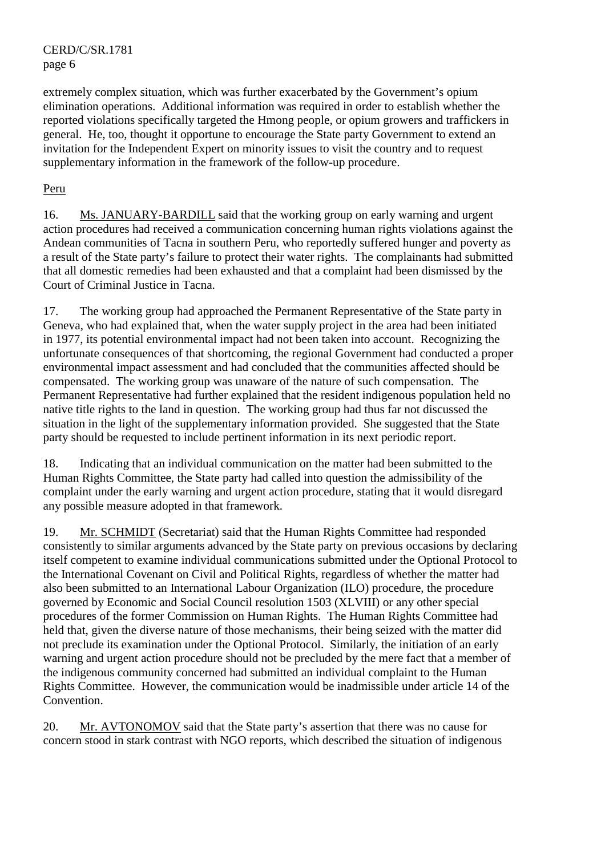extremely complex situation, which was further exacerbated by the Government's opium elimination operations. Additional information was required in order to establish whether the reported violations specifically targeted the Hmong people, or opium growers and traffickers in general. He, too, thought it opportune to encourage the State party Government to extend an invitation for the Independent Expert on minority issues to visit the country and to request supplementary information in the framework of the follow-up procedure.

# Peru

16. Ms. JANUARY-BARDILL said that the working group on early warning and urgent action procedures had received a communication concerning human rights violations against the Andean communities of Tacna in southern Peru, who reportedly suffered hunger and poverty as a result of the State party's failure to protect their water rights. The complainants had submitted that all domestic remedies had been exhausted and that a complaint had been dismissed by the Court of Criminal Justice in Tacna.

17. The working group had approached the Permanent Representative of the State party in Geneva, who had explained that, when the water supply project in the area had been initiated in 1977, its potential environmental impact had not been taken into account. Recognizing the unfortunate consequences of that shortcoming, the regional Government had conducted a proper environmental impact assessment and had concluded that the communities affected should be compensated. The working group was unaware of the nature of such compensation. The Permanent Representative had further explained that the resident indigenous population held no native title rights to the land in question. The working group had thus far not discussed the situation in the light of the supplementary information provided. She suggested that the State party should be requested to include pertinent information in its next periodic report.

18. Indicating that an individual communication on the matter had been submitted to the Human Rights Committee, the State party had called into question the admissibility of the complaint under the early warning and urgent action procedure, stating that it would disregard any possible measure adopted in that framework.

19. Mr. SCHMIDT (Secretariat) said that the Human Rights Committee had responded consistently to similar arguments advanced by the State party on previous occasions by declaring itself competent to examine individual communications submitted under the Optional Protocol to the International Covenant on Civil and Political Rights, regardless of whether the matter had also been submitted to an International Labour Organization (ILO) procedure, the procedure governed by Economic and Social Council resolution 1503 (XLVIII) or any other special procedures of the former Commission on Human Rights. The Human Rights Committee had held that, given the diverse nature of those mechanisms, their being seized with the matter did not preclude its examination under the Optional Protocol. Similarly, the initiation of an early warning and urgent action procedure should not be precluded by the mere fact that a member of the indigenous community concerned had submitted an individual complaint to the Human Rights Committee. However, the communication would be inadmissible under article 14 of the Convention.

20. Mr. AVTONOMOV said that the State party's assertion that there was no cause for concern stood in stark contrast with NGO reports, which described the situation of indigenous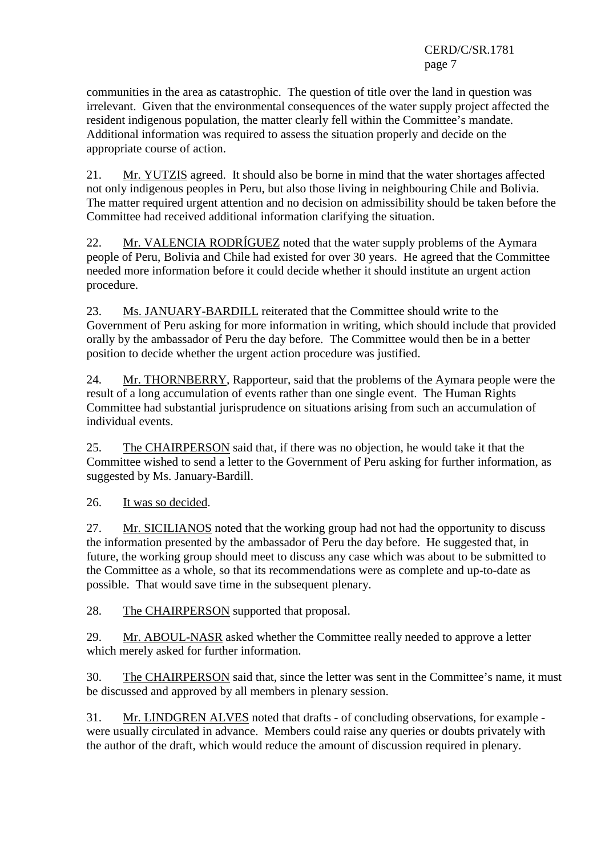communities in the area as catastrophic. The question of title over the land in question was irrelevant. Given that the environmental consequences of the water supply project affected the resident indigenous population, the matter clearly fell within the Committee's mandate. Additional information was required to assess the situation properly and decide on the appropriate course of action.

21. Mr. YUTZIS agreed. It should also be borne in mind that the water shortages affected not only indigenous peoples in Peru, but also those living in neighbouring Chile and Bolivia. The matter required urgent attention and no decision on admissibility should be taken before the Committee had received additional information clarifying the situation.

22. Mr. VALENCIA RODRÍGUEZ noted that the water supply problems of the Aymara people of Peru, Bolivia and Chile had existed for over 30 years. He agreed that the Committee needed more information before it could decide whether it should institute an urgent action procedure.

23. Ms. JANUARY-BARDILL reiterated that the Committee should write to the Government of Peru asking for more information in writing, which should include that provided orally by the ambassador of Peru the day before. The Committee would then be in a better position to decide whether the urgent action procedure was justified.

24. Mr. THORNBERRY, Rapporteur, said that the problems of the Aymara people were the result of a long accumulation of events rather than one single event. The Human Rights Committee had substantial jurisprudence on situations arising from such an accumulation of individual events.

25. The CHAIRPERSON said that, if there was no objection, he would take it that the Committee wished to send a letter to the Government of Peru asking for further information, as suggested by Ms. January-Bardill.

26. It was so decided.

27. Mr. SICILIANOS noted that the working group had not had the opportunity to discuss the information presented by the ambassador of Peru the day before. He suggested that, in future, the working group should meet to discuss any case which was about to be submitted to the Committee as a whole, so that its recommendations were as complete and up-to-date as possible. That would save time in the subsequent plenary.

28. The CHAIRPERSON supported that proposal.

29. Mr. ABOUL-NASR asked whether the Committee really needed to approve a letter which merely asked for further information.

30. The CHAIRPERSON said that, since the letter was sent in the Committee's name, it must be discussed and approved by all members in plenary session.

31. Mr. LINDGREN ALVES noted that drafts - of concluding observations, for example were usually circulated in advance. Members could raise any queries or doubts privately with the author of the draft, which would reduce the amount of discussion required in plenary.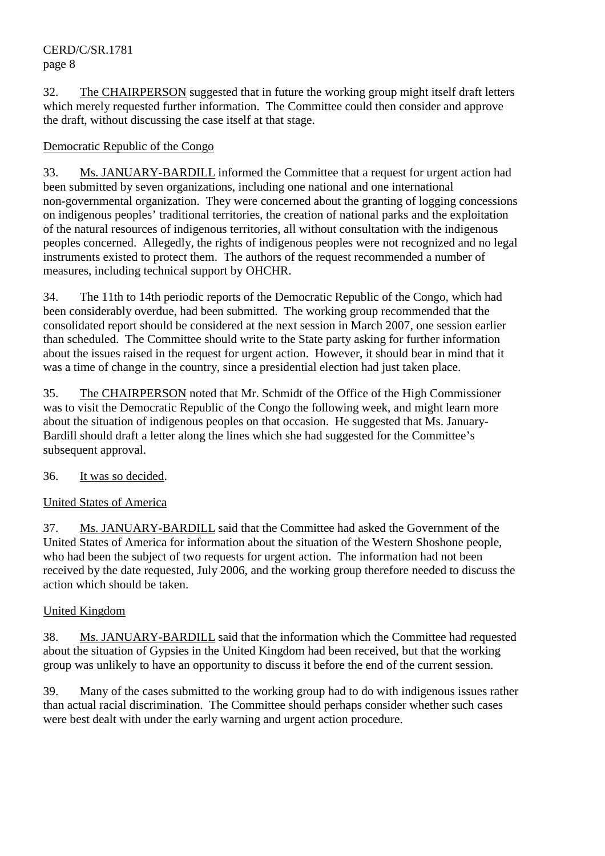32. The CHAIRPERSON suggested that in future the working group might itself draft letters which merely requested further information. The Committee could then consider and approve the draft, without discussing the case itself at that stage.

# Democratic Republic of the Congo

33. Ms. JANUARY-BARDILL informed the Committee that a request for urgent action had been submitted by seven organizations, including one national and one international non-governmental organization. They were concerned about the granting of logging concessions on indigenous peoples' traditional territories, the creation of national parks and the exploitation of the natural resources of indigenous territories, all without consultation with the indigenous peoples concerned. Allegedly, the rights of indigenous peoples were not recognized and no legal instruments existed to protect them. The authors of the request recommended a number of measures, including technical support by OHCHR.

34. The 11th to 14th periodic reports of the Democratic Republic of the Congo, which had been considerably overdue, had been submitted. The working group recommended that the consolidated report should be considered at the next session in March 2007, one session earlier than scheduled. The Committee should write to the State party asking for further information about the issues raised in the request for urgent action. However, it should bear in mind that it was a time of change in the country, since a presidential election had just taken place.

35. The CHAIRPERSON noted that Mr. Schmidt of the Office of the High Commissioner was to visit the Democratic Republic of the Congo the following week, and might learn more about the situation of indigenous peoples on that occasion. He suggested that Ms. January-Bardill should draft a letter along the lines which she had suggested for the Committee's subsequent approval.

# 36. It was so decided.

# United States of America

37. Ms. JANUARY-BARDILL said that the Committee had asked the Government of the United States of America for information about the situation of the Western Shoshone people, who had been the subject of two requests for urgent action. The information had not been received by the date requested, July 2006, and the working group therefore needed to discuss the action which should be taken.

# United Kingdom

38. Ms. JANUARY-BARDILL said that the information which the Committee had requested about the situation of Gypsies in the United Kingdom had been received, but that the working group was unlikely to have an opportunity to discuss it before the end of the current session.

39. Many of the cases submitted to the working group had to do with indigenous issues rather than actual racial discrimination. The Committee should perhaps consider whether such cases were best dealt with under the early warning and urgent action procedure.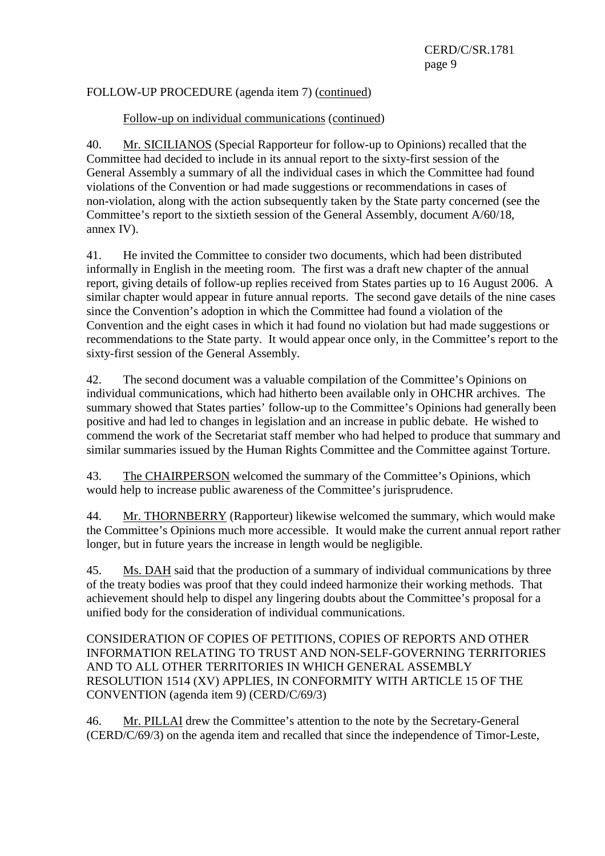# FOLLOW-UP PROCEDURE (agenda item 7) (continued)

# Follow-up on individual communications (continued)

40. Mr. SICILIANOS (Special Rapporteur for follow-up to Opinions) recalled that the Committee had decided to include in its annual report to the sixty-first session of the General Assembly a summary of all the individual cases in which the Committee had found violations of the Convention or had made suggestions or recommendations in cases of non-violation, along with the action subsequently taken by the State party concerned (see the Committee's report to the sixtieth session of the General Assembly, document A/60/18, annex IV).

41. He invited the Committee to consider two documents, which had been distributed informally in English in the meeting room. The first was a draft new chapter of the annual report, giving details of follow-up replies received from States parties up to 16 August 2006. A similar chapter would appear in future annual reports. The second gave details of the nine cases since the Convention's adoption in which the Committee had found a violation of the Convention and the eight cases in which it had found no violation but had made suggestions or recommendations to the State party. It would appear once only, in the Committee's report to the sixty-first session of the General Assembly.

42. The second document was a valuable compilation of the Committee's Opinions on individual communications, which had hitherto been available only in OHCHR archives. The summary showed that States parties' follow-up to the Committee's Opinions had generally been positive and had led to changes in legislation and an increase in public debate. He wished to commend the work of the Secretariat staff member who had helped to produce that summary and similar summaries issued by the Human Rights Committee and the Committee against Torture.

43. The CHAIRPERSON welcomed the summary of the Committee's Opinions, which would help to increase public awareness of the Committee's jurisprudence.

44. Mr. THORNBERRY (Rapporteur) likewise welcomed the summary, which would make the Committee's Opinions much more accessible. It would make the current annual report rather longer, but in future years the increase in length would be negligible.

45. Ms. DAH said that the production of a summary of individual communications by three of the treaty bodies was proof that they could indeed harmonize their working methods. That achievement should help to dispel any lingering doubts about the Committee's proposal for a unified body for the consideration of individual communications.

CONSIDERATION OF COPIES OF PETITIONS, COPIES OF REPORTS AND OTHER INFORMATION RELATING TO TRUST AND NON-SELF-GOVERNING TERRITORIES AND TO ALL OTHER TERRITORIES IN WHICH GENERAL ASSEMBLY RESOLUTION 1514 (XV) APPLIES, IN CONFORMITY WITH ARTICLE 15 OF THE CONVENTION (agenda item 9) (CERD/C/69/3)

46. Mr. PILLAI drew the Committee's attention to the note by the Secretary-General (CERD/C/69/3) on the agenda item and recalled that since the independence of Timor-Leste,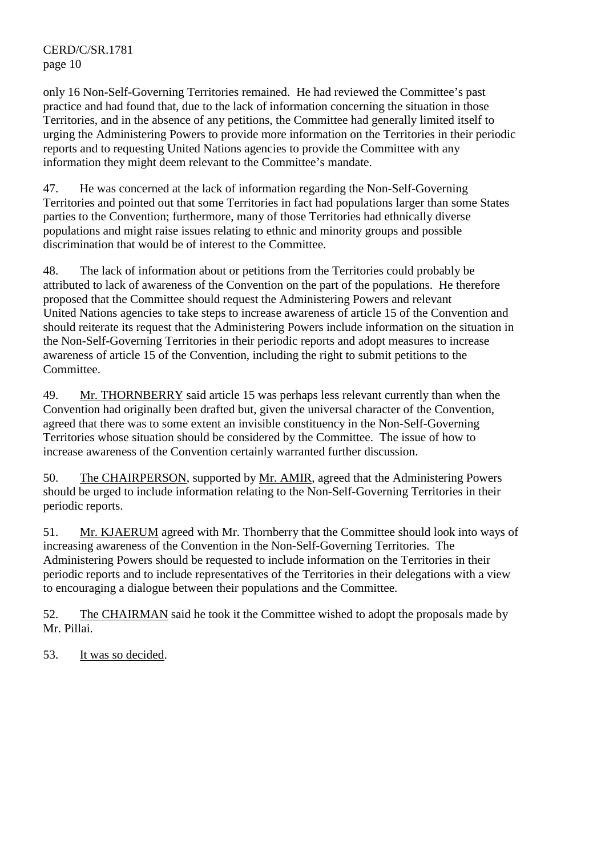only 16 Non-Self-Governing Territories remained. He had reviewed the Committee's past practice and had found that, due to the lack of information concerning the situation in those Territories, and in the absence of any petitions, the Committee had generally limited itself to urging the Administering Powers to provide more information on the Territories in their periodic reports and to requesting United Nations agencies to provide the Committee with any information they might deem relevant to the Committee's mandate.

47. He was concerned at the lack of information regarding the Non-Self-Governing Territories and pointed out that some Territories in fact had populations larger than some States parties to the Convention; furthermore, many of those Territories had ethnically diverse populations and might raise issues relating to ethnic and minority groups and possible discrimination that would be of interest to the Committee.

48. The lack of information about or petitions from the Territories could probably be attributed to lack of awareness of the Convention on the part of the populations. He therefore proposed that the Committee should request the Administering Powers and relevant United Nations agencies to take steps to increase awareness of article 15 of the Convention and should reiterate its request that the Administering Powers include information on the situation in the Non-Self-Governing Territories in their periodic reports and adopt measures to increase awareness of article 15 of the Convention, including the right to submit petitions to the Committee.

49. Mr. THORNBERRY said article 15 was perhaps less relevant currently than when the Convention had originally been drafted but, given the universal character of the Convention, agreed that there was to some extent an invisible constituency in the Non-Self-Governing Territories whose situation should be considered by the Committee. The issue of how to increase awareness of the Convention certainly warranted further discussion.

50. The CHAIRPERSON, supported by Mr. AMIR, agreed that the Administering Powers should be urged to include information relating to the Non-Self-Governing Territories in their periodic reports.

51. Mr. KJAERUM agreed with Mr. Thornberry that the Committee should look into ways of increasing awareness of the Convention in the Non-Self-Governing Territories. The Administering Powers should be requested to include information on the Territories in their periodic reports and to include representatives of the Territories in their delegations with a view to encouraging a dialogue between their populations and the Committee.

52. The CHAIRMAN said he took it the Committee wished to adopt the proposals made by Mr. Pillai.

53. It was so decided.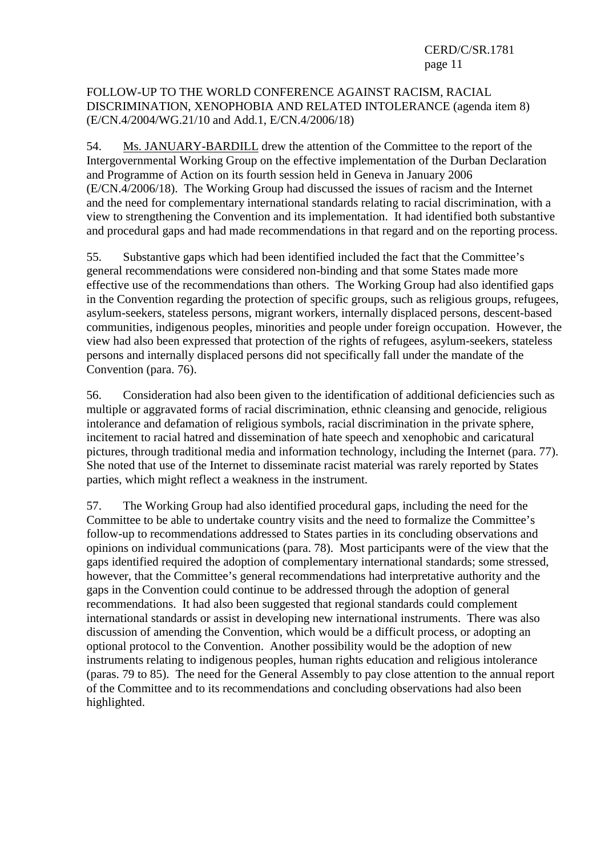### FOLLOW-UP TO THE WORLD CONFERENCE AGAINST RACISM, RACIAL DISCRIMINATION, XENOPHOBIA AND RELATED INTOLERANCE (agenda item 8) (E/CN.4/2004/WG.21/10 and Add.1, E/CN.4/2006/18)

54. Ms. JANUARY-BARDILL drew the attention of the Committee to the report of the Intergovernmental Working Group on the effective implementation of the Durban Declaration and Programme of Action on its fourth session held in Geneva in January 2006 (E/CN.4/2006/18). The Working Group had discussed the issues of racism and the Internet and the need for complementary international standards relating to racial discrimination, with a view to strengthening the Convention and its implementation. It had identified both substantive and procedural gaps and had made recommendations in that regard and on the reporting process.

55. Substantive gaps which had been identified included the fact that the Committee's general recommendations were considered non-binding and that some States made more effective use of the recommendations than others. The Working Group had also identified gaps in the Convention regarding the protection of specific groups, such as religious groups, refugees, asylum-seekers, stateless persons, migrant workers, internally displaced persons, descent-based communities, indigenous peoples, minorities and people under foreign occupation. However, the view had also been expressed that protection of the rights of refugees, asylum-seekers, stateless persons and internally displaced persons did not specifically fall under the mandate of the Convention (para. 76).

56. Consideration had also been given to the identification of additional deficiencies such as multiple or aggravated forms of racial discrimination, ethnic cleansing and genocide, religious intolerance and defamation of religious symbols, racial discrimination in the private sphere, incitement to racial hatred and dissemination of hate speech and xenophobic and caricatural pictures, through traditional media and information technology, including the Internet (para. 77). She noted that use of the Internet to disseminate racist material was rarely reported by States parties, which might reflect a weakness in the instrument.

57. The Working Group had also identified procedural gaps, including the need for the Committee to be able to undertake country visits and the need to formalize the Committee's follow-up to recommendations addressed to States parties in its concluding observations and opinions on individual communications (para. 78). Most participants were of the view that the gaps identified required the adoption of complementary international standards; some stressed, however, that the Committee's general recommendations had interpretative authority and the gaps in the Convention could continue to be addressed through the adoption of general recommendations. It had also been suggested that regional standards could complement international standards or assist in developing new international instruments. There was also discussion of amending the Convention, which would be a difficult process, or adopting an optional protocol to the Convention. Another possibility would be the adoption of new instruments relating to indigenous peoples, human rights education and religious intolerance (paras. 79 to 85). The need for the General Assembly to pay close attention to the annual report of the Committee and to its recommendations and concluding observations had also been highlighted.